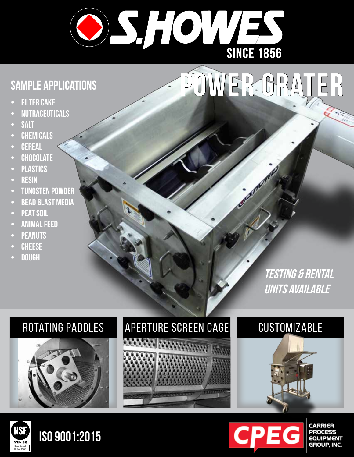

# **power grater**

## **Sample applications**

- **FILTER CAKE**
- **• nutraceuticals**
- **• salt**
- **• chemicals**
- **• cereal**
- **• chocolate**
- **PLASTICS**
- **RESIN**
- **• tungsten powder**
- **BEAD BLAST MEDIA**
- **PEAT SOIL**
- **ANIMAL FEED**
- **PEANUTS**
- **• cheese**
- **• dough**

**testing & rental units available**





**CARRIER** 

**PROCESS** 

GROUP, INC.

**CPEG**